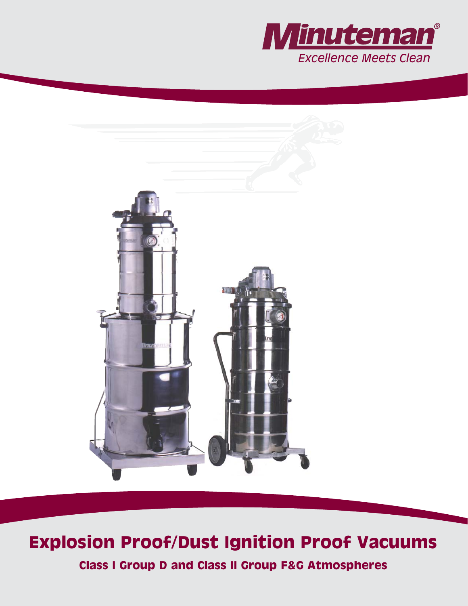



# **Explosion Proof/Dust Ignition Proof Vacuums**

**Class I Group D and Class II Group F&G Atmospheres**